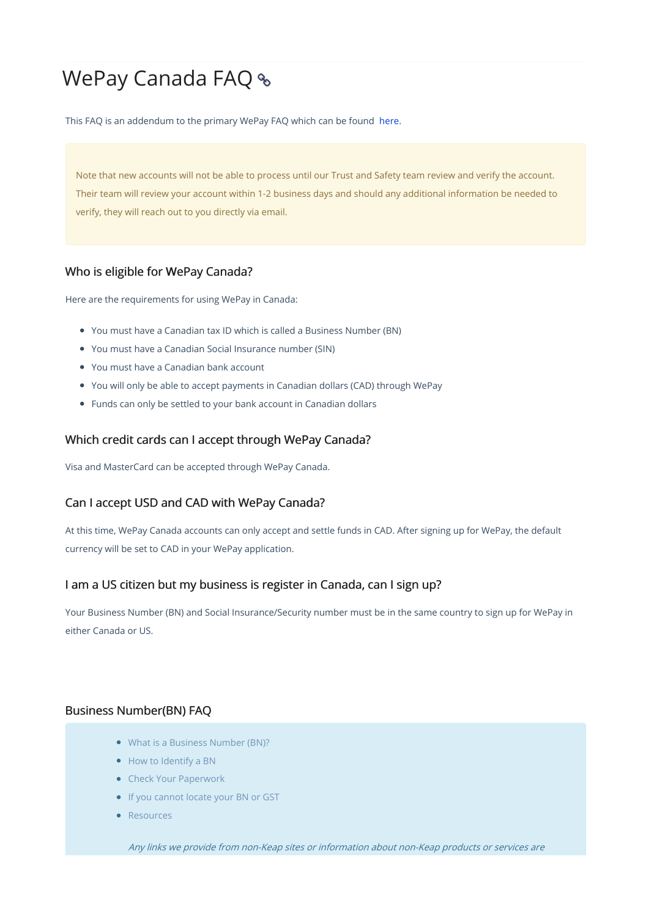# WePay Canada FAQ

This FAQ is an addendum to the primary WePay FAQ which can be found here.

Note that new accounts will not be able to process until our Trust and Safety team review and verify the account. Their team will review your account within 1-2 business days and should any additional information be needed to verify, they will reach out to you directly via email.

#### Who is eligible for WePay Canada?

Here are the requirements for using WePay in Canada:

- You must have a Canadian tax ID which is called a Business Number (BN)
- You must have a Canadian Social Insurance number (SIN)
- You must have a Canadian bank account
- You will only be able to accept payments in Canadian dollars (CAD) through WePay
- Funds can only be settled to your bank account in Canadian dollars

#### Which credit cards can I accept through WePay Canada?

Visa and MasterCard can be accepted through WePay Canada.

### Can I accept USD and CAD with WePay Canada?

At this time, WePay Canada accounts can only accept and settle funds in CAD. After signing up for WePay, the default currency will be set to CAD in your WePay application.

#### I am a US citizen but my business is register in Canada, can I sign up?

Your Business Number (BN) and Social Insurance/Security number must be in the same country to sign up for WePay in either Canada or US.

#### Business Number(BN) FAQ

- What is a Business Number (BN)?
- How to Identify a BN
- Check Your Paperwork
- If you cannot locate your BN or GST
- Resources

Any links we provide from non-Keap sites or information about non-Keap products or services are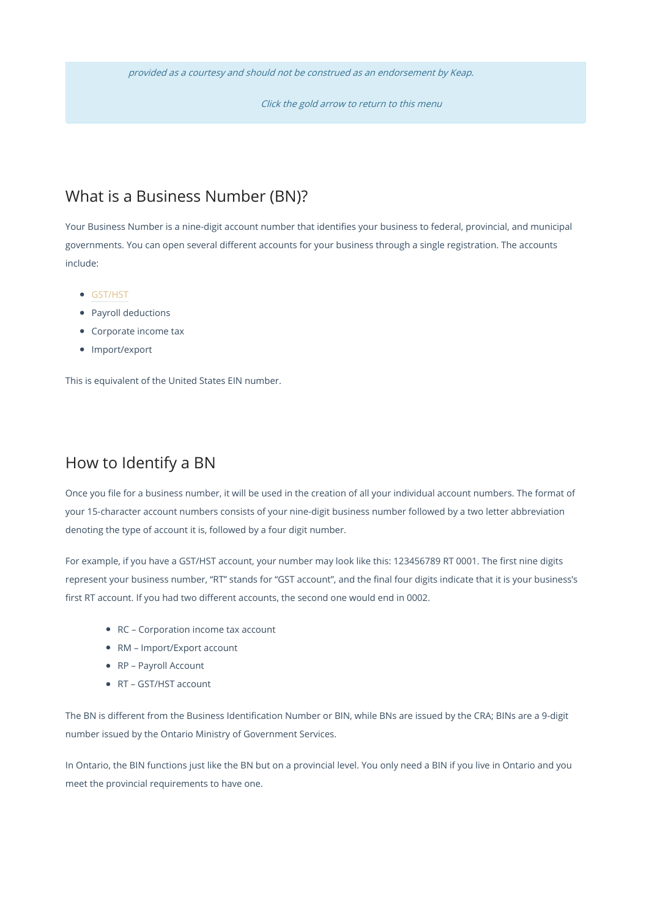provided as <sup>a</sup> courtesy and should not be construed as an endorsement by Keap.

Click the gold arrow to return to this menu

# What is a Business Number (BN)?

Your Business Number is a nine-digit account number that identifies your business to federal, provincial, and municipal governments. You can open several different accounts for your business through a single registration. The accounts include:

- GST/HST
- Payroll deductions
- Corporate income tax
- Import/export

This is equivalent of the United States EIN number.

## How to Identify a BN

Once you file for a business number, it will be used in the creation of all your individual account numbers. The format of your 15-character account numbers consists of your nine-digit business number followed by a two letter abbreviation denoting the type of account it is, followed by a four digit number.

For example, if you have a GST/HST account, your number may look like this: 123456789 RT 0001. The first nine digits represent your business number, "RT" stands for "GST account", and the final four digits indicate that it is your business's first RT account. If you had two different accounts, the second one would end in 0002.

- RC Corporation income tax account
- RM Import/Export account
- RP Payroll Account
- RT GST/HST account

The BN is different from the Business Identification Number or BIN, while BNs are issued by the CRA; BINs are a 9-digit number issued by the Ontario Ministry of Government Services.

In Ontario, the BIN functions just like the BN but on a provincial level. You only need a BIN if you live in Ontario and you meet the provincial requirements to have one.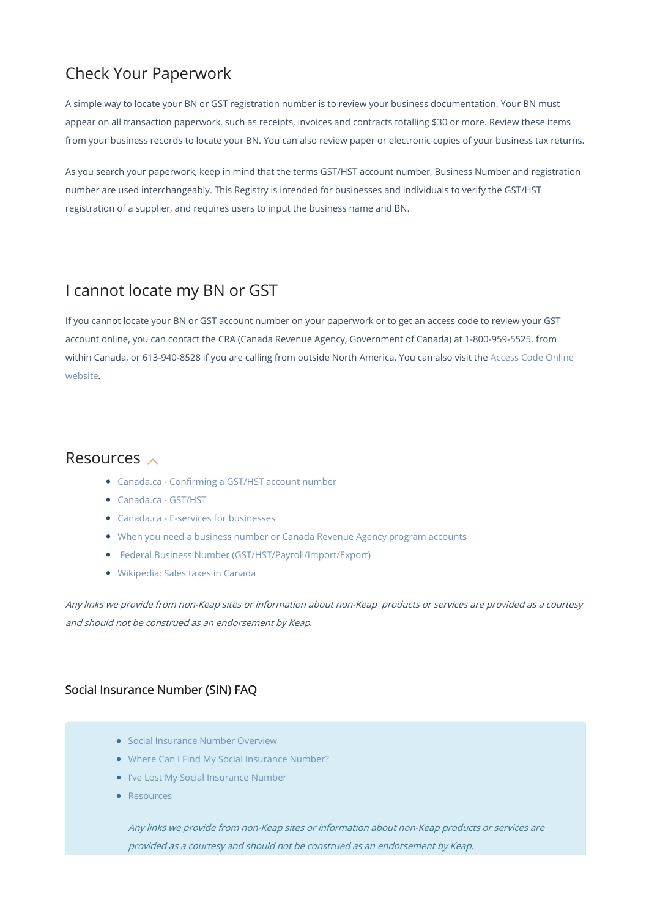# Check Your Paperwork

A simple way to locate your BN or GST registration number is to review your business documentation. Your BN must appear on all transaction paperwork, such as receipts, invoices and contracts totalling \$30 or more. Review these items from your business records to locate your BN. You can also review paper or electronic copies of your business tax returns.

As you search your paperwork, keep in mind that the terms GST/HST account number, Business Number and registration number are used interchangeably. This Registry is intended for businesses and individuals to verify the GST/HST registration of a supplier, and requires users to input the business name and BN.

# I cannot locate my BN or GST

If you cannot locate your BN or GST account number on your paperwork or to get an access code to review your GST account online, you can contact the CRA (Canada Revenue Agency, Government of Canada) at 1-800-959-5525. from within Canada, or 613-940-8528 if you are calling from outside North America. You can also visit the Access Code Online website.

### Resources  $\sim$

- Canada.ca Confirming a GST/HST account number
- Canada.ca GST/HST
- Canada.ca E-services for businesses
- When you need a business number or Canada Revenue Agency program accounts
- Federal Business Number (GST/HST/Payroll/Import/Export)
- Wikipedia: Sales taxes in Canada

Any links we provide from non-Keap sites or information about non-Keap products or services are provided as <sup>a</sup> courtesy and should not be construed as an endorsement by Keap.

### Social Insurance Number (SIN) FAQ

- Social Insurance Number Overview
- Where Can I Find My Social Insurance Number?
- I've Lost My Social Insurance Number
- **C**Resources

Any links we provide from non-Keap sites or information about non-Keap products or services are provided as <sup>a</sup> courtesy and should not be construed as an endorsement by Keap.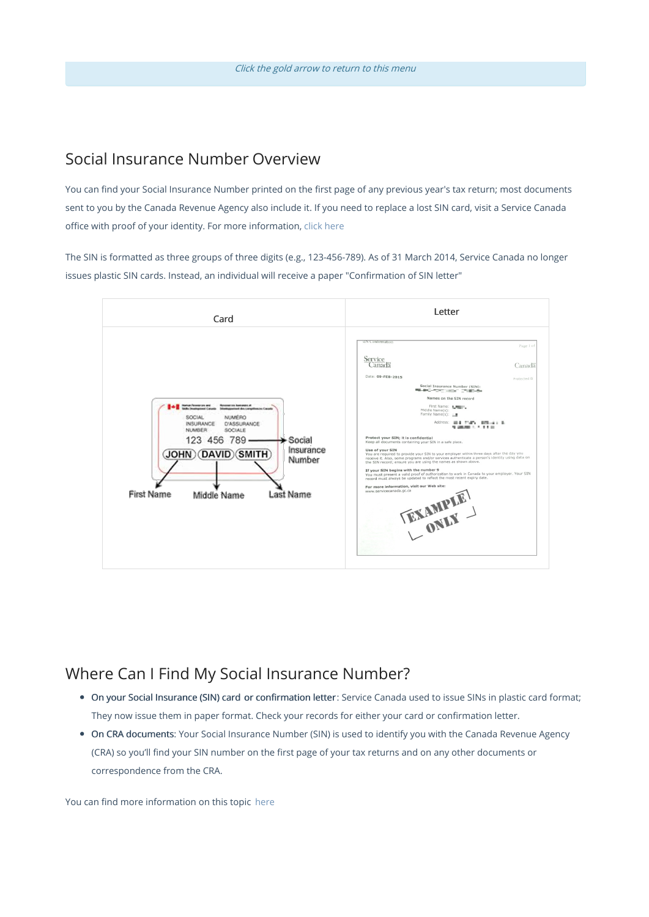## Social Insurance Number Overview

You can find your Social Insurance Number printed on the first page of any previous year's tax return; most documents sent to you by the Canada Revenue Agency also include it. If you need to replace a lost SIN card, visit a Service Canada office with proof of your identity. For more information, click here

The SIN is formatted as three groups of three digits (e.g., 123-456-789). As of 31 March 2014, Service Canada no longer issues plastic SIN cards. Instead, an individual will receive a paper "Confirmation of SIN letter"



## Where Can I Find My Social Insurance Number?

- On your Social Insurance (SIN) card or confirmation letter : Service Canada used to issue SINs in plastic card format; They now issue them in paper format. Check your records for either your card or confirmation letter.
- On CRA documents: Your Social Insurance Number (SIN) is used to identify you with the Canada Revenue Agency (CRA) so you'll find your SIN number on the first page of your tax returns and on any other documents or correspondence from the CRA.

You can find more information on this topic here